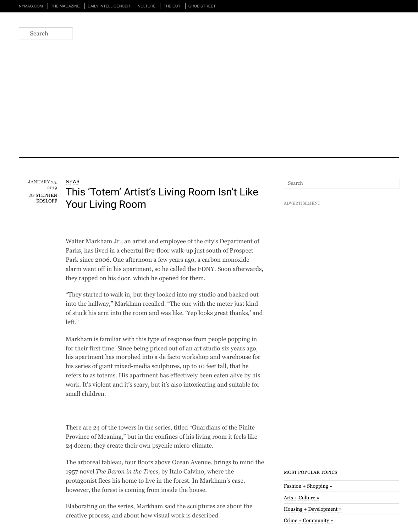Walter Markham Jr., an artist and employee of the city's Department of the city's Department of  $\mu$ Parks, has live[d in a cheerful five-floor walk-up just south of Prospect](https://bedfordandbowery.com/)ive Park since 2006. One afternoon a few years ago, a carbon mon alarm went off in his apartment, so he called the FDNY. Soon a they rapped on his door, which he opened for them.

"They started to walk in, but they looked into my studio and ba into the hallway," Markham recalled. "The one with the meter of stuck his arm into the room and was like, 'Yep looks great than left."

Markham is familiar with this type of response from people population. for their first time. Since being priced out of an art studio six  $y_0$ his apartment has morphed into a de facto workshop and ware his series of giant mixed-media sculptures, up to 10 feet tall, the refers to as totems. His apartment has effectively been eaten all work. It's violent and it's scary, but it's also intoxicating and suitable for small children.

There are 24 of the towers in the series, titled "Guardians of the Province of Meaning," but in the confines of his living room it feels like 24 dozen; they create their own psychic micro-climate.

The arboreal tableau, four floors above Ocean Avenue, brings to 1957 novel *The Baron in the Trees*, by Italo Calvino, where the protagonist flees his home to live in the forest. In Markham's c however, the forest is coming from inside the house.

Elaborating on the series, Markham said the sculptures are about the sculpture of the series of the sculptures are about the sculptures are about the sculptures are about the sculptures are about the sculptures are about t creative process, and about how visual work is described.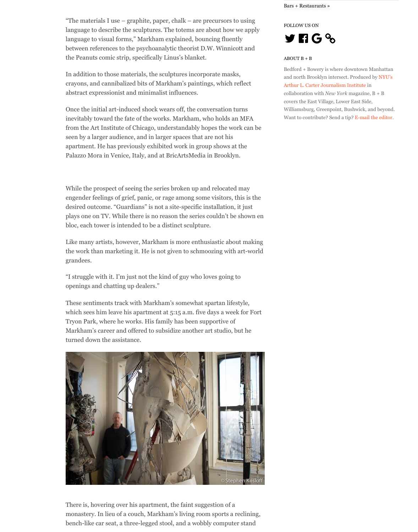Like many artists, however, Markham is more enthusiastic about many artists, however, Markham is more enthusiastic the work than marketing it. He is not given to schmoozing with grandees.

bloc, each tower is interesting to be a distinct sculpture. In the analysis interest sculpture. In the second sculpture.

"I struggle with it. I'm just not the kind of guy who loves going openings and chatting up dealers."

These sentiments track with Markham's somewhat spartan life which sees him leave his apartment at 5:15 a.m. five days a week Tryon Park, where he works. His family has been supportive of Markham's career and offered to subsidize another art studio, turned down the assistance.



There is, hovering over his apartment, the faint suggestion of a monastery. In lieu of a couch, Markham's living room sports a bench-like car seat, a three-legged stool, and a wobbly computer standard standard standard standard standard standard standard standard standard standard standard standard standard standard standard standard standard stan